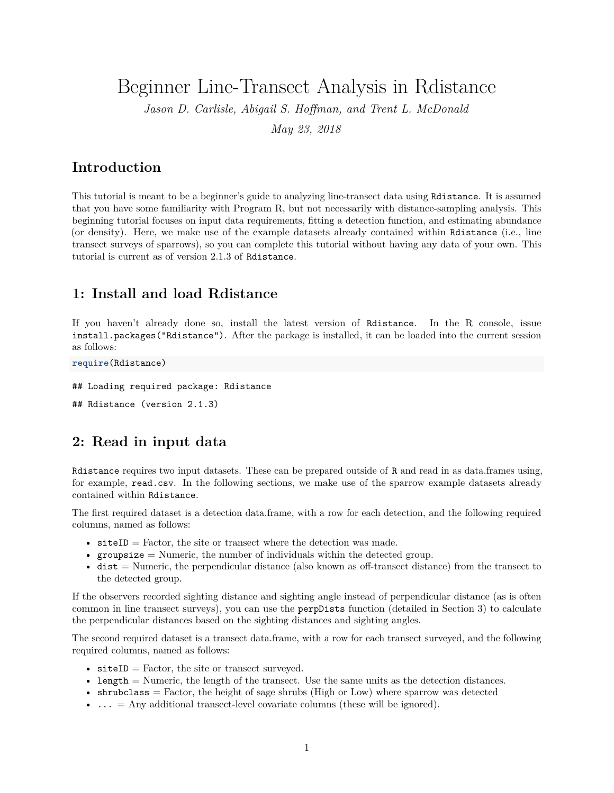Beginner Line-Transect Analysis in Rdistance

*Jason D. Carlisle, Abigail S. Hoffman, and Trent L. McDonald*

*May 23, 2018*

### **Introduction**

This tutorial is meant to be a beginner's guide to analyzing line-transect data using Rdistance. It is assumed that you have some familiarity with Program R, but not necessarily with distance-sampling analysis. This beginning tutorial focuses on input data requirements, fitting a detection function, and estimating abundance (or density). Here, we make use of the example datasets already contained within Rdistance (i.e., line transect surveys of sparrows), so you can complete this tutorial without having any data of your own. This tutorial is current as of version 2.1.3 of Rdistance.

### **1: Install and load Rdistance**

If you haven't already done so, install the latest version of Rdistance. In the R console, issue install.packages("Rdistance"). After the package is installed, it can be loaded into the current session as follows:

```
require(Rdistance)
```
## Loading required package: Rdistance

## Rdistance (version 2.1.3)

### **2: Read in input data**

Rdistance requires two input datasets. These can be prepared outside of R and read in as data.frames using, for example, read.csv. In the following sections, we make use of the sparrow example datasets already contained within Rdistance.

The first required dataset is a detection data.frame, with a row for each detection, and the following required columns, named as follows:

- $\text{site ID} = \text{Factor}$ , the site or transect where the detection was made.
- groupsize  $=$  Numeric, the number of individuals within the detected group.
- dist = Numeric, the perpendicular distance (also known as off-transect distance) from the transect to the detected group.

If the observers recorded sighting distance and sighting angle instead of perpendicular distance (as is often common in line transect surveys), you can use the perpDists function (detailed in Section 3) to calculate the perpendicular distances based on the sighting distances and sighting angles.

The second required dataset is a transect data.frame, with a row for each transect surveyed, and the following required columns, named as follows:

- $\text{site ID} = \text{Factor}$ , the site or transect surveyed.
- length = Numeric, the length of the transect. Use the same units as the detection distances.
- shrubclass  $=$  Factor, the height of sage shrubs (High or Low) where sparrow was detected
- ... = Any additional transect-level covariate columns (these will be ignored).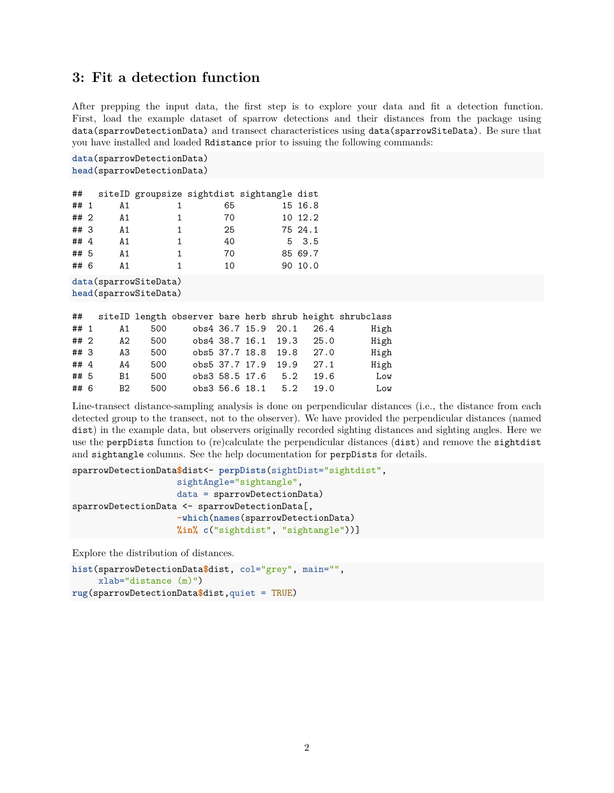### **3: Fit a detection function**

After prepping the input data, the first step is to explore your data and fit a detection function. First, load the example dataset of sparrow detections and their distances from the package using data(sparrowDetectionData) and transect characteristices using data(sparrowSiteData). Be sure that you have installed and loaded Rdistance prior to issuing the following commands:

```
data(sparrowDetectionData)
head(sparrowDetectionData)
```

| ##                   |                |                                    |    | siteID groupsize sightdist sightangle dist |               |
|----------------------|----------------|------------------------------------|----|--------------------------------------------|---------------|
| ## 1                 | A1             |                                    | 65 |                                            | 15 16.8       |
| ## 2                 | A1             | 1                                  | 70 |                                            | 10 12.2       |
| ## 3                 | A 1            | 1                                  | 25 |                                            | 75 24.1       |
| ## $4$               | A1             | 1                                  | 40 |                                            | $5 \quad 3.5$ |
| ## 5                 | A1             | 1.                                 | 70 |                                            | 85 69.7       |
| ## 6                 | A <sub>1</sub> | 1.                                 | 10 |                                            | 90 10.0       |
| $\sim$ $\sim$ $\sim$ |                | $\sim$ $\sim$ $\sim$ $\sim$ $\sim$ |    |                                            |               |

**data**(sparrowSiteData) **head**(sparrowSiteData)

|        |           |           |  |  |                          | ## siteID length observer bare herb shrub height shrubclass |
|--------|-----------|-----------|--|--|--------------------------|-------------------------------------------------------------|
| ## 1   |           | 500<br>A1 |  |  | obs4 36.7 15.9 20.1 26.4 | High                                                        |
| ## 2   | A2        | 500       |  |  | obs4 38.7 16.1 19.3 25.0 | High                                                        |
| ##3    | A3        | 500       |  |  | obs5 37.7 18.8 19.8 27.0 | High                                                        |
| ## $4$ | A4        | 500       |  |  | obs5 37.7 17.9 19.9 27.1 | High                                                        |
| ## 5   | <b>B1</b> | 500       |  |  | obs3 58.5 17.6 5.2 19.6  | Low                                                         |
| ## 6   | B2        | 500       |  |  | obs3 56.6 18.1 5.2 19.0  | Low                                                         |

Line-transect distance-sampling analysis is done on perpendicular distances (i.e., the distance from each detected group to the transect, not to the observer). We have provided the perpendicular distances (named dist) in the example data, but observers originally recorded sighting distances and sighting angles. Here we use the perpDists function to (re)calculate the perpendicular distances (dist) and remove the sightdist and sightangle columns. See the help documentation for perpDists for details.

```
sparrowDetectionData$dist<- perpDists(sightDist="sightdist",
                    sightAngle="sightangle",
                    data = sparrowDetectionData)
sparrowDetectionData <- sparrowDetectionData[,
                    -which(names(sparrowDetectionData)
                    %in% c("sightdist", "sightangle"))]
```
Explore the distribution of distances.

```
hist(sparrowDetectionData$dist, col="grey", main="",
     xlab="distance (m)")
rug(sparrowDetectionData$dist,quiet = TRUE)
```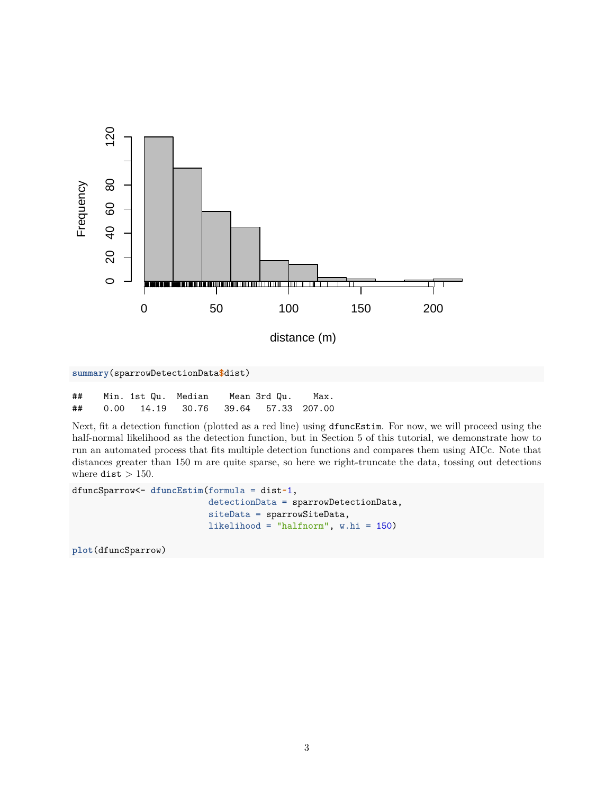

```
summary(sparrowDetectionData$dist)
```

| ## | Min. 1st Qu.  Median                |  | Mean 3rd Qu. | Max. |
|----|-------------------------------------|--|--------------|------|
| ## | 0.00 14.19 30.76 39.64 57.33 207.00 |  |              |      |

Next, fit a detection function (plotted as a red line) using dfuncEstim. For now, we will proceed using the half-normal likelihood as the detection function, but in Section 5 of this tutorial, we demonstrate how to run an automated process that fits multiple detection functions and compares them using AICc. Note that distances greater than 150 m are quite sparse, so here we right-truncate the data, tossing out detections where  $\texttt{dist} > 150$ .

```
dfuncSparrow<- dfuncEstim(formula = dist~1,
                          detectionData = sparrowDetectionData,
                          siteData = sparrowSiteData,
                          likelihood = "halfnorm", w.hi = 150)
```
**plot**(dfuncSparrow)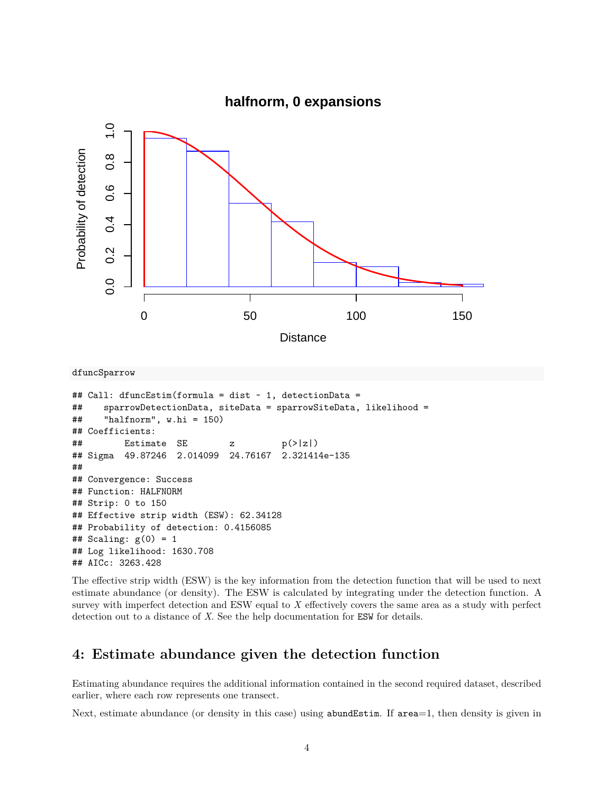

```
dfuncSparrow
```

```
## Call: dfuncEstim(formula = dist ~ 1, detectionData =
## sparrowDetectionData, siteData = sparrowSiteData, likelihood =
## "halfnorm", w.hi = 150)
## Coefficients:
## Estimate SE z p(>|z|)
## Sigma 49.87246 2.014099 24.76167 2.321414e-135
##
## Convergence: Success
## Function: HALFNORM
## Strip: 0 to 150
## Effective strip width (ESW): 62.34128
## Probability of detection: 0.4156085
## Scaling: g(0) = 1## Log likelihood: 1630.708
## AICc: 3263.428
```
The effective strip width (ESW) is the key information from the detection function that will be used to next estimate abundance (or density). The ESW is calculated by integrating under the detection function. A survey with imperfect detection and ESW equal to *X* effectively covers the same area as a study with perfect detection out to a distance of *X*. See the help documentation for ESW for details.

## **4: Estimate abundance given the detection function**

Estimating abundance requires the additional information contained in the second required dataset, described earlier, where each row represents one transect.

Next, estimate abundance (or density in this case) using abundEstim. If area=1, then density is given in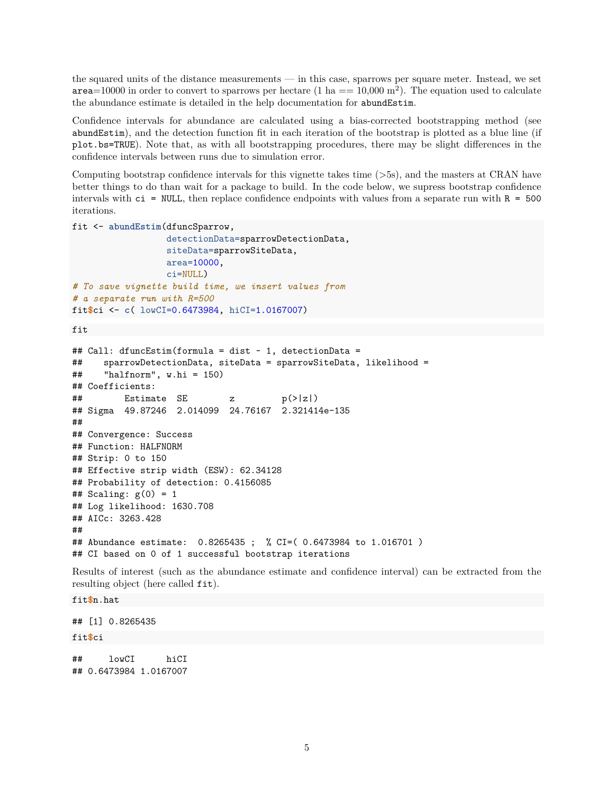the squared units of the distance measurements — in this case, sparrows per square meter. Instead, we set  $\texttt{area}=10000$  in order to convert to sparrows per hectare  $(1 \text{ ha } == 10{,}000 \text{ m}^2)$ . The equation used to calculate the abundance estimate is detailed in the help documentation for abundEstim.

Confidence intervals for abundance are calculated using a bias-corrected bootstrapping method (see abundEstim), and the detection function fit in each iteration of the bootstrap is plotted as a blue line (if plot.bs=TRUE). Note that, as with all bootstrapping procedures, there may be slight differences in the confidence intervals between runs due to simulation error.

Computing bootstrap confidence intervals for this vignette takes time (>5s), and the masters at CRAN have better things to do than wait for a package to build. In the code below, we supress bootstrap confidence intervals with  $ci = NULL$ , then replace confidence endpoints with values from a separate run with  $R = 500$ iterations.

```
fit <- abundEstim(dfuncSparrow,
                  detectionData=sparrowDetectionData,
                  siteData=sparrowSiteData,
                  area=10000,
                  ci=NULL)
# To save vignette build time, we insert values from
# a separate run with R=500
fit$ci <- c( lowCI=0.6473984, hiCI=1.0167007)
```
fit

```
## Call: dfuncEstim(formula = dist ~ 1, detectionData =
## sparrowDetectionData, siteData = sparrowSiteData, likelihood =
## "halfnorm", w.hi = 150)
## Coefficients:
\# Estimate SE z p(>|z|)
## Sigma 49.87246 2.014099 24.76167 2.321414e-135
##
## Convergence: Success
## Function: HALFNORM
## Strip: 0 to 150
## Effective strip width (ESW): 62.34128
## Probability of detection: 0.4156085
## Scaling: g(0) = 1## Log likelihood: 1630.708
## AICc: 3263.428
##
## Abundance estimate: 0.8265435 ; % CI=( 0.6473984 to 1.016701 )
## CI based on 0 of 1 successful bootstrap iterations
```
Results of interest (such as the abundance estimate and confidence interval) can be extracted from the resulting object (here called fit).

#### fit**\$**n.hat

## [1] 0.8265435

#### fit**\$**ci

## lowCI hiCI ## 0.6473984 1.0167007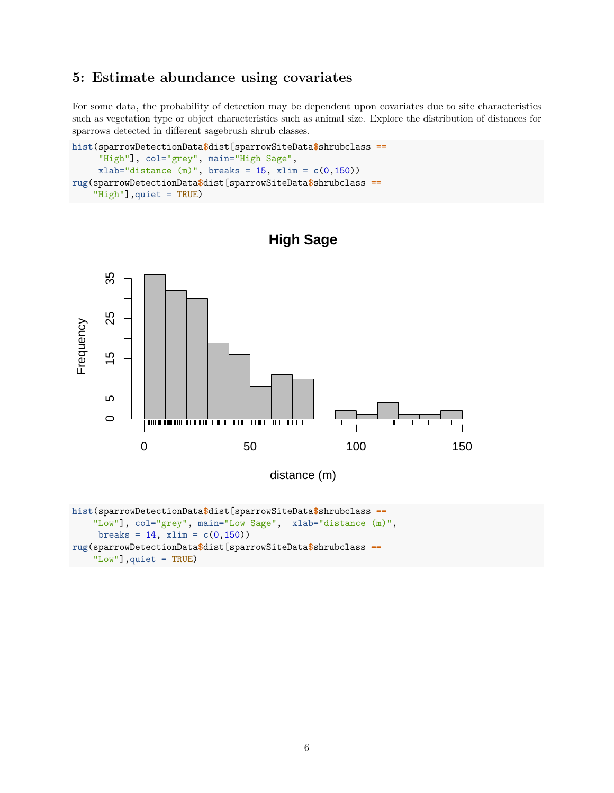### **5: Estimate abundance using covariates**

For some data, the probability of detection may be dependent upon covariates due to site characteristics such as vegetation type or object characteristics such as animal size. Explore the distribution of distances for sparrows detected in different sagebrush shrub classes.

```
hist(sparrowDetectionData$dist[sparrowSiteData$shrubclass ==
     "High"], col="grey", main="High Sage",
     xlab="distance (m)", breaks = 15, xlim = c(0,150))
rug(sparrowDetectionData$dist[sparrowSiteData$shrubclass ==
    "High"],quiet = TRUE)
```


**High Sage**

**rug**(sparrowDetectionData**\$**dist[sparrowSiteData**\$**shrubclass **==** "Low"],quiet = TRUE)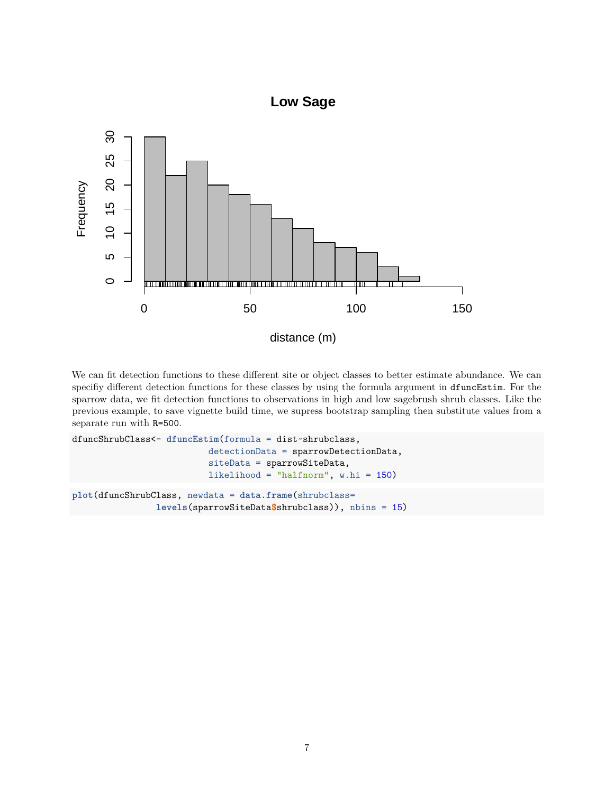

We can fit detection functions to these different site or object classes to better estimate abundance. We can specifiy different detection functions for these classes by using the formula argument in dfuncEstim. For the sparrow data, we fit detection functions to observations in high and low sagebrush shrub classes. Like the previous example, to save vignette build time, we supress bootstrap sampling then substitute values from a separate run with R=500.

```
dfuncShrubClass<- dfuncEstim(formula = dist~shrubclass,
                          detectionData = sparrowDetectionData,
                          siteData = sparrowSiteData,
                          likelihood = "halfnorm", w.hi = 150)
plot(dfuncShrubClass, newdata = data.frame(shrubclass=
                levels(sparrowSiteData$shrubclass)), nbins = 15)
```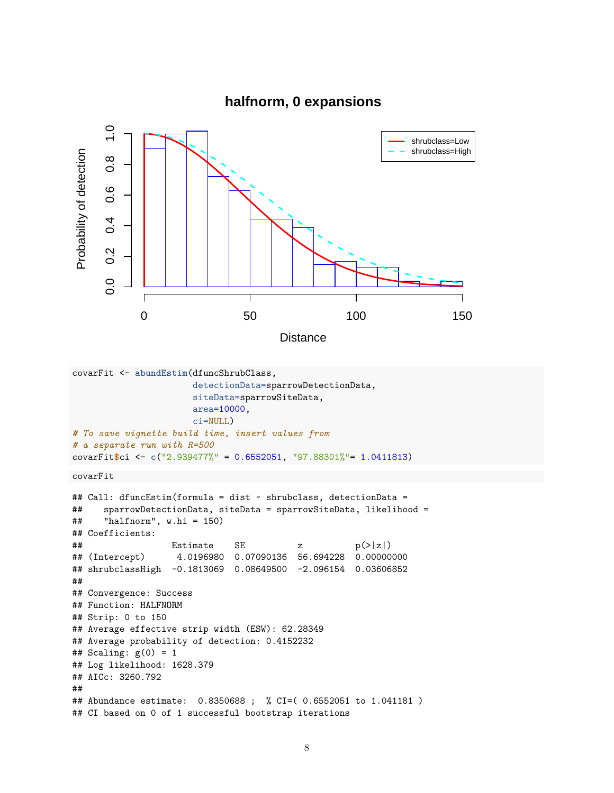



```
covarFit <- abundEstim(dfuncShrubClass,
                       detectionData=sparrowDetectionData,
```

```
siteData=sparrowSiteData,
                       area=10000,
                       ci=NULL)
# To save vignette build time, insert values from
# a separate run with R=500
covarFit$ci <- c("2.939477%" = 0.6552051, "97.88301%"= 1.0411813)
```

```
covarFit
```

```
## Call: dfuncEstim(formula = dist ~ shrubclass, detectionData =
## sparrowDetectionData, siteData = sparrowSiteData, likelihood =
## "halfnorm", w.hi = 150)
## Coefficients:
## Estimate SE z p(>|z|)
## (Intercept) 4.0196980 0.07090136 56.694228 0.00000000
## shrubclassHigh -0.1813069 0.08649500 -2.096154 0.03606852
##
## Convergence: Success
## Function: HALFNORM
## Strip: 0 to 150
## Average effective strip width (ESW): 62.28349
## Average probability of detection: 0.4152232
## Scaling: g(0) = 1## Log likelihood: 1628.379
## AICc: 3260.792
##
## Abundance estimate: 0.8350688 ; % CI=( 0.6552051 to 1.041181 )
## CI based on 0 of 1 successful bootstrap iterations
```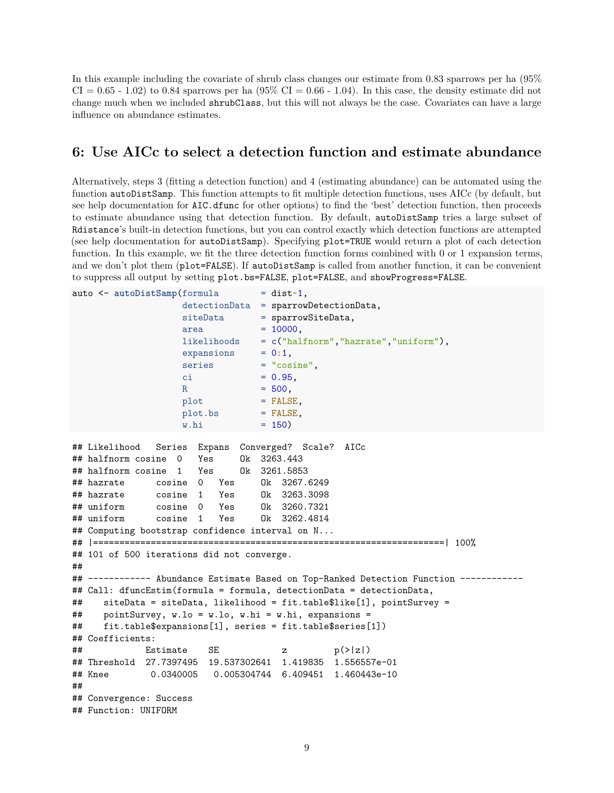In this example including the covariate of shrub class changes our estimate from 0.83 sparrows per ha (95%  $CI = 0.65 - 1.02$  to 0.84 sparrows per ha  $(95\% \text{ CI} = 0.66 - 1.04)$ . In this case, the density estimate did not change much when we included shrubClass, but this will not always be the case. Covariates can have a large influence on abundance estimates.

### **6: Use AICc to select a detection function and estimate abundance**

Alternatively, steps 3 (fitting a detection function) and 4 (estimating abundance) can be automated using the function autoDistSamp. This function attempts to fit multiple detection functions, uses AICc (by default, but see help documentation for AIC.dfunc for other options) to find the 'best' detection function, then proceeds to estimate abundance using that detection function. By default, autoDistSamp tries a large subset of Rdistance's built-in detection functions, but you can control exactly which detection functions are attempted (see help documentation for autoDistSamp). Specifying plot=TRUE would return a plot of each detection function. In this example, we fit the three detection function forms combined with 0 or 1 expansion terms, and we don't plot them (plot=FALSE). If autoDistSamp is called from another function, it can be convenient to suppress all output by setting plot.bs=FALSE, plot=FALSE, and showProgress=FALSE.

```
auto <- autoDistSamp(formula = dist~1,
                  detectionData = sparrowDetectionData,
                  siteData = sparrowSiteData,
                  area = 10000,likelihoods = c("halfnorm","hazrate","uniform"),
                  expansions = 0:1,
                  series = "cosine",
                  ci = 0.95,
                  R = 500,
                  plot = FALSE,plot.bs = FALSE,
                  w.hi = 150)## Likelihood Series Expans Converged? Scale? AICc
## halfnorm cosine 0 Yes Ok 3263.443
## halfnorm cosine 1 Yes Ok 3261.5853
## hazrate cosine 0 Yes Ok 3267.6249
## hazrate cosine 1 Yes Ok 3263.3098
## uniform cosine 0 Yes Ok 3260.7321
## uniform cosine 1 Yes Ok 3262.4814
## Computing bootstrap confidence interval on N...
## |===================================================================| 100%
## 101 of 500 iterations did not converge.
##
## ------------ Abundance Estimate Based on Top-Ranked Detection Function ------------
## Call: dfuncEstim(formula = formula, detectionData = detectionData,
## siteData = siteData, likelihood = fit.table$like[1], pointSurvey =
## pointSurvey, w.lo = w.lo, w.hi = w.hi, expansions =
## fit.table$expansions[1], series = fit.table$series[1])
## Coefficients:
\# Estimate SE z p(>|z|)## Threshold 27.7397495 19.537302641 1.419835 1.556557e-01
## Knee 0.0340005 0.005304744 6.409451 1.460443e-10
##
## Convergence: Success
## Function: UNIFORM
```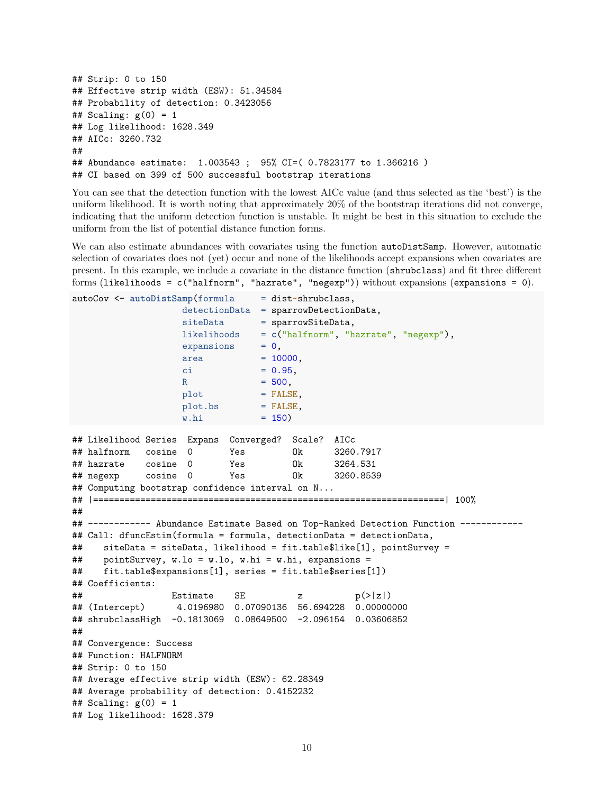```
## Strip: 0 to 150
## Effective strip width (ESW): 51.34584
## Probability of detection: 0.3423056
## Scaling: g(0) = 1## Log likelihood: 1628.349
## AICc: 3260.732
##
## Abundance estimate: 1.003543 ; 95% CI=( 0.7823177 to 1.366216 )
## CI based on 399 of 500 successful bootstrap iterations
```
You can see that the detection function with the lowest AICc value (and thus selected as the 'best') is the uniform likelihood. It is worth noting that approximately 20% of the bootstrap iterations did not converge, indicating that the uniform detection function is unstable. It might be best in this situation to exclude the uniform from the list of potential distance function forms.

We can also estimate abundances with covariates using the function autoDistSamp. However, automatic selection of covariates does not (yet) occur and none of the likelihoods accept expansions when covariates are present. In this example, we include a covariate in the distance function (shrubclass) and fit three different forms (likelihoods = c("halfnorm", "hazrate", "negexp")) without expansions (expansions = 0).

```
autoCov <- autoDistSamp(formula = dist~shrubclass,
                  detectionData = sparrowDetectionData,
                  siteData = sparrowSiteData,
                  likelihoods = c("halfnorm", "hazrate", "negexp"),
                  expansions = 0,area = 10000,ci = 0.95,R = 500,
                  plot = FALSE.
                  plot.bs = FALSE,
                  w.hi = 150)## Likelihood Series Expans Converged? Scale? AICc
## halfnorm cosine 0 Yes Ok 3260.7917
## hazrate cosine 0 Yes Ok 3264.531
## negexp cosine 0 Yes Ok 3260.8539
## Computing bootstrap confidence interval on N...
## |===================================================================| 100%
##
## ------------ Abundance Estimate Based on Top-Ranked Detection Function ------------
## Call: dfuncEstim(formula = formula, detectionData = detectionData,
## siteData = siteData, likelihood = fit.table$like[1], pointSurvey =
## pointSurvey, w.lo = w.lo, w.hi = w.hi, expansions =
## fit.table$expansions[1], series = fit.table$series[1])
## Coefficients:
## Estimate SE z p(>|z|)
## (Intercept) 4.0196980 0.07090136 56.694228 0.00000000
## shrubclassHigh -0.1813069 0.08649500 -2.096154 0.03606852
##
## Convergence: Success
## Function: HALFNORM
## Strip: 0 to 150
## Average effective strip width (ESW): 62.28349
## Average probability of detection: 0.4152232
## Scaling: g(0) = 1## Log likelihood: 1628.379
```